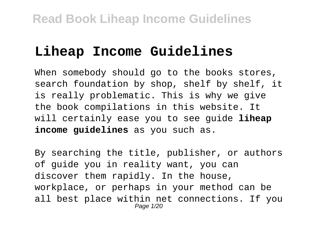# **Liheap Income Guidelines**

When somebody should go to the books stores, search foundation by shop, shelf by shelf, it is really problematic. This is why we give the book compilations in this website. It will certainly ease you to see guide **liheap income guidelines** as you such as.

By searching the title, publisher, or authors of guide you in reality want, you can discover them rapidly. In the house, workplace, or perhaps in your method can be all best place within net connections. If you Page 1/20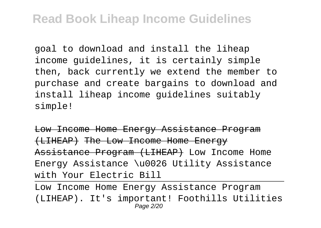goal to download and install the liheap income guidelines, it is certainly simple then, back currently we extend the member to purchase and create bargains to download and install liheap income guidelines suitably simple!

Low Income Home Energy Assistance Program (LIHEAP) The Low Income Home Energy Assistance Program (LIHEAP) Low Income Home Energy Assistance \u0026 Utility Assistance with Your Electric Bill

Low Income Home Energy Assistance Program (LIHEAP). It's important! Foothills Utilities Page 2/20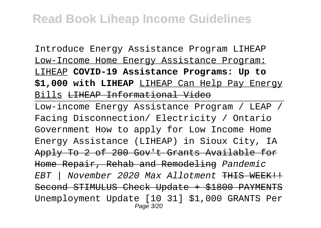Introduce Energy Assistance Program LIHEAP Low-Income Home Energy Assistance Program: LIHEAP **COVID-19 Assistance Programs: Up to \$1,000 with LIHEAP** LIHEAP Can Help Pay Energy Bills LIHEAP Informational Video

Low-income Energy Assistance Program / LEAP / Facing Disconnection/ Electricity / Ontario Government How to apply for Low Income Home Energy Assistance (LIHEAP) in Sioux City, IA Apply To 2 of 200 Gov't Grants Available for Home Repair, Rehab and Remodeling Pandemic EBT | November 2020 Max Allotment THIS WEEK !! Second STIMULUS Check Update + \$1800 PAYM Unemployment Update [10 31] \$1,000 GRANTS Per Page 3/20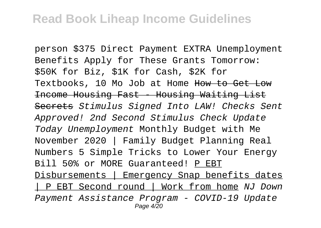person \$375 Direct Payment EXTRA Unemployment Benefits Apply for These Grants Tomorrow: \$50K for Biz, \$1K for Cash, \$2K for Textbooks, 10 Mo Job at Home How to Get Low Income Housing Fast - Housing Waiting List Secrets Stimulus Signed Into LAW! Checks Sent Approved! 2nd Second Stimulus Check Update Today Unemployment Monthly Budget with Me November 2020 | Family Budget Planning Real Numbers 5 Simple Tricks to Lower Your Energy Bill 50% or MORE Guaranteed! P EBT Disbursements | Emergency Snap benefits dates | P EBT Second round | Work from home NJ Down Payment Assistance Program - COVID-19 Update Page 4/20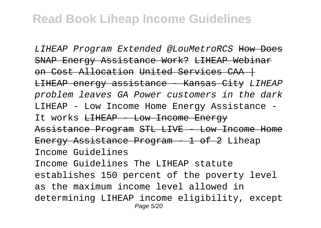LIHEAP Program Extended @LouMetroRCS How Does SNAP Energy Assistance Work? LIHEAP Webinar on Cost Allocation United Services CAA + LIHEAP energy assistance - Kansas City LIHEAP problem leaves GA Power customers in the dark LIHEAP - Low Income Home Energy Assistance - It works <del>LIHEAP - Low Income Energy</del> Assistance Program STL LIVE - Low Income Home Energy Assistance Program - 1 of 2 Liheap Income Guidelines Income Guidelines The LIHEAP statute establishes 150 percent of the poverty level as the maximum income level allowed in determining LIHEAP income eligibility, except Page 5/20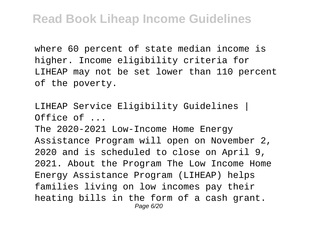where 60 percent of state median income is higher. Income eligibility criteria for LIHEAP may not be set lower than 110 percent of the poverty.

LIHEAP Service Eligibility Guidelines | Office of ... The 2020-2021 Low-Income Home Energy Assistance Program will open on November 2, 2020 and is scheduled to close on April 9, 2021. About the Program The Low Income Home Energy Assistance Program (LIHEAP) helps families living on low incomes pay their heating bills in the form of a cash grant. Page 6/20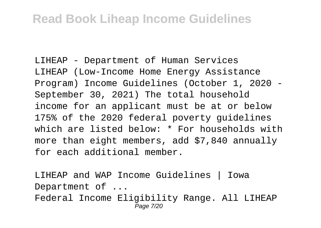LIHEAP - Department of Human Services LIHEAP (Low-Income Home Energy Assistance Program) Income Guidelines (October 1, 2020 - September 30, 2021) The total household income for an applicant must be at or below 175% of the 2020 federal poverty guidelines which are listed below: \* For households with more than eight members, add \$7,840 annually for each additional member.

LIHEAP and WAP Income Guidelines | Iowa Department of ... Federal Income Eligibility Range. All LIHEAP Page 7/20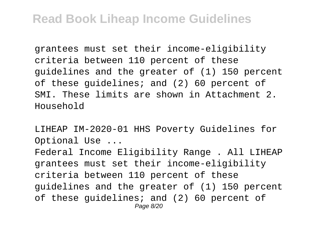grantees must set their income-eligibility criteria between 110 percent of these guidelines and the greater of (1) 150 percent of these guidelines; and (2) 60 percent of SMI. These limits are shown in Attachment 2. Household

LIHEAP IM-2020-01 HHS Poverty Guidelines for Optional Use ...

Federal Income Eligibility Range . All LIHEAP grantees must set their income-eligibility criteria between 110 percent of these guidelines and the greater of (1) 150 percent of these guidelines; and (2) 60 percent of Page 8/20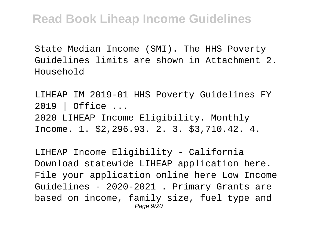State Median Income (SMI). The HHS Poverty Guidelines limits are shown in Attachment 2. Household

LIHEAP IM 2019-01 HHS Poverty Guidelines FY 2019 | Office ... 2020 LIHEAP Income Eligibility. Monthly Income. 1. \$2,296.93. 2. 3. \$3,710.42. 4.

LIHEAP Income Eligibility - California Download statewide LIHEAP application here. File your application online here Low Income Guidelines - 2020-2021 . Primary Grants are based on income, family size, fuel type and Page 9/20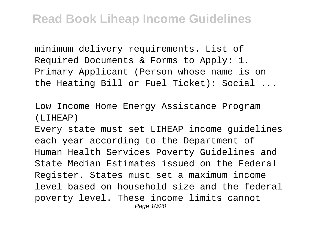minimum delivery requirements. List of Required Documents & Forms to Apply: 1. Primary Applicant (Person whose name is on the Heating Bill or Fuel Ticket): Social ...

Low Income Home Energy Assistance Program (LIHEAP)

Every state must set LIHEAP income guidelines each year according to the Department of Human Health Services Poverty Guidelines and State Median Estimates issued on the Federal Register. States must set a maximum income level based on household size and the federal poverty level. These income limits cannot Page 10/20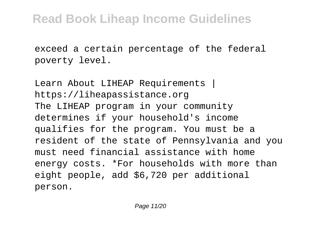exceed a certain percentage of the federal poverty level.

Learn About LIHEAP Requirements | https://liheapassistance.org The LIHEAP program in your community determines if your household's income qualifies for the program. You must be a resident of the state of Pennsylvania and you must need financial assistance with home energy costs. \*For households with more than eight people, add \$6,720 per additional person.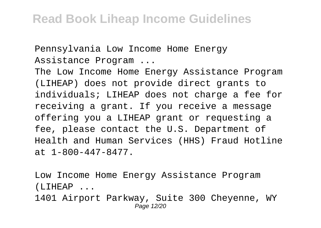Pennsylvania Low Income Home Energy Assistance Program ...

The Low Income Home Energy Assistance Program (LIHEAP) does not provide direct grants to individuals; LIHEAP does not charge a fee for receiving a grant. If you receive a message offering you a LIHEAP grant or requesting a fee, please contact the U.S. Department of Health and Human Services (HHS) Fraud Hotline at 1-800-447-8477.

Low Income Home Energy Assistance Program (LIHEAP ...

1401 Airport Parkway, Suite 300 Cheyenne, WY Page 12/20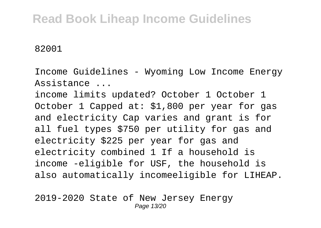82001

Income Guidelines - Wyoming Low Income Energy Assistance ...

income limits updated? October 1 October 1 October 1 Capped at: \$1,800 per year for gas and electricity Cap varies and grant is for all fuel types \$750 per utility for gas and electricity \$225 per year for gas and electricity combined 1 If a household is income -eligible for USF, the household is also automatically incomeeligible for LIHEAP.

2019-2020 State of New Jersey Energy Page 13/20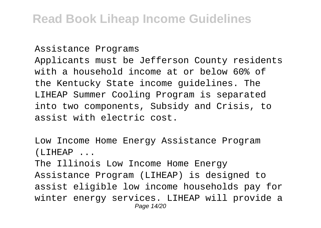Assistance Programs Applicants must be Jefferson County residents with a household income at or below 60% of the Kentucky State income guidelines. The LIHEAP Summer Cooling Program is separated into two components, Subsidy and Crisis, to assist with electric cost.

Low Income Home Energy Assistance Program (LIHEAP ...

The Illinois Low Income Home Energy Assistance Program (LIHEAP) is designed to assist eligible low income households pay for winter energy services. LIHEAP will provide a Page 14/20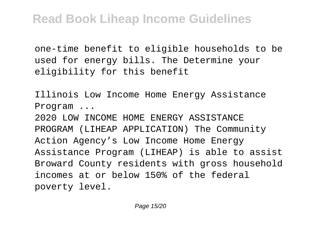one-time benefit to eligible households to be used for energy bills. The Determine your eligibility for this benefit

Illinois Low Income Home Energy Assistance Program ... 2020 LOW INCOME HOME ENERGY ASSISTANCE PROGRAM (LIHEAP APPLICATION) The Community Action Agency's Low Income Home Energy Assistance Program (LIHEAP) is able to assist Broward County residents with gross household incomes at or below 150% of the federal poverty level.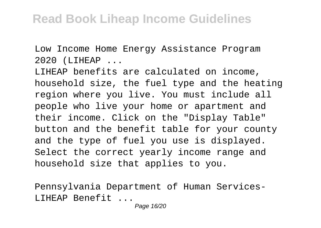Low Income Home Energy Assistance Program 2020 (LIHEAP ...

LIHEAP benefits are calculated on income, household size, the fuel type and the heating region where you live. You must include all people who live your home or apartment and their income. Click on the "Display Table" button and the benefit table for your county and the type of fuel you use is displayed. Select the correct yearly income range and household size that applies to you.

Pennsylvania Department of Human Services-LIHEAP Benefit ...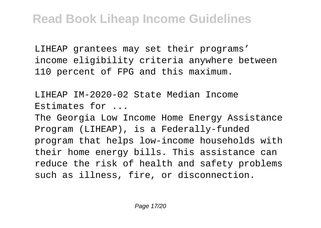LIHEAP grantees may set their programs' income eligibility criteria anywhere between 110 percent of FPG and this maximum.

LIHEAP IM-2020-02 State Median Income Estimates for ...

The Georgia Low Income Home Energy Assistance Program (LIHEAP), is a Federally-funded program that helps low-income households with their home energy bills. This assistance can reduce the risk of health and safety problems such as illness, fire, or disconnection.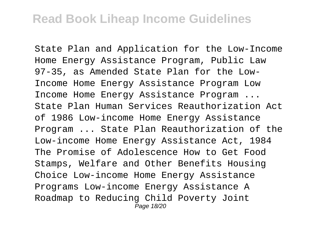State Plan and Application for the Low-Income Home Energy Assistance Program, Public Law 97-35, as Amended State Plan for the Low-Income Home Energy Assistance Program Low Income Home Energy Assistance Program ... State Plan Human Services Reauthorization Act of 1986 Low-income Home Energy Assistance Program ... State Plan Reauthorization of the Low-income Home Energy Assistance Act, 1984 The Promise of Adolescence How to Get Food Stamps, Welfare and Other Benefits Housing Choice Low-income Home Energy Assistance Programs Low-income Energy Assistance A Roadmap to Reducing Child Poverty Joint Page 18/20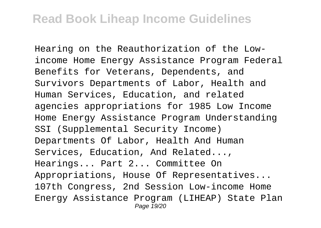Hearing on the Reauthorization of the Lowincome Home Energy Assistance Program Federal Benefits for Veterans, Dependents, and Survivors Departments of Labor, Health and Human Services, Education, and related agencies appropriations for 1985 Low Income Home Energy Assistance Program Understanding SSI (Supplemental Security Income) Departments Of Labor, Health And Human Services, Education, And Related..., Hearings... Part 2... Committee On Appropriations, House Of Representatives... 107th Congress, 2nd Session Low-income Home Energy Assistance Program (LIHEAP) State Plan Page 19/20